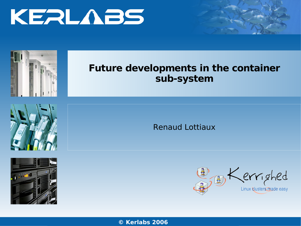



#### **Future developments in the container sub-system**





Renaud Lottiaux



**© Ker** w**l** <sup>w</sup>**a**w**b**.k**s** erl**2**ab**0**s.c**06**om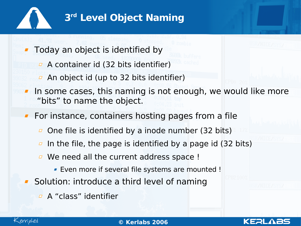

## **3 rd Level Object Naming**

Today an object is identified by

- $\overline{P}$  A container id (32 bits identifier)
- $\overline{a}$  An object id (up to 32 bits identifier)
- In some cases, this naming is not enough, we would like more "bits" to name the object.

**For instance, containers hosting pages from a file** 

- $\Box$  One file is identified by a inode number (32 bits)
- In the file, the page is identified by a page id (32 bits)  $\varpi$
- We need all the current address space !
	- Even more if several file systems are mounted !
- **Solution: introduce a third level of naming** 
	- A "class" identifier



KERI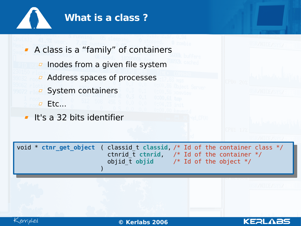

- A class is a "family" of containers
	- $\overline{p}$  Inodes from a given file system
	- Address spaces of processes
	- **B** System containers
	- $\Box$  Etc...
- **It's a 32 bits identifier**





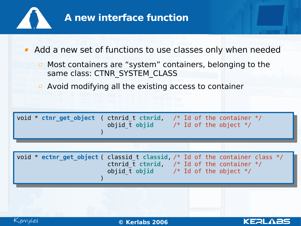

### **A new interface function**

- **Add a new set of functions to use classes only when needed** 
	- $\overline{P}$  Most containers are "system" containers, belonging to the same class: CTNR\_SYSTEM\_CLASS
	- Avoid modifying all the existing access to container

void \* **ctnr\_get\_object** ( ctnrid\_t **ctnrid**, /\* Id of the container \*/ objid\_t **objid** /\* Id of the object \*/ )

void \* **ectnr** get object ( classid t classid, /\* Id of the container class \*/ ctnrid  $\overline{t}$  ctnrid,  $\overline{t}$  of the container  $\overline{t}$ objid  $\overline{t}$  objid  $\overline{t}$  /\* Id of the object  $\overline{t}$ )



**KEALABS**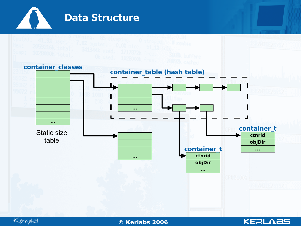

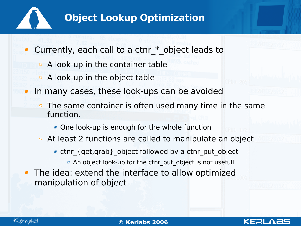![](_page_5_Picture_0.jpeg)

# **Object Lookup Optimization**

- Currently, each call to a ctnr \* object leads to
	- $\overline{P}$  A look-up in the container table
	- $\overline{P}$  A look-up in the object table
- In many cases, these look-ups can be avoided
	- The same container is often used many time in the same  $\varpi$ function.
		- One look-up is enough for the whole function
	- $\overline{a}$  At least 2 functions are called to manipulate an object
		- ctnr\_{get,grab}\_object followed by a ctnr\_put\_object
			- An object look-up for the ctnr\_put\_object is not usefull
- The idea: extend the interface to allow optimized manipulation of object

![](_page_5_Picture_12.jpeg)

![](_page_5_Picture_14.jpeg)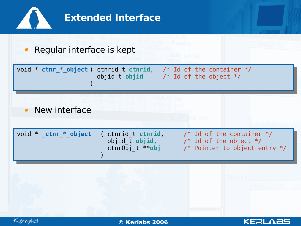![](_page_6_Figure_0.jpeg)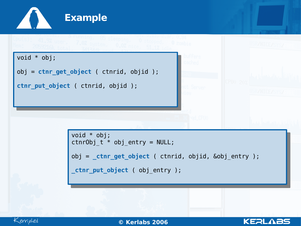![](_page_7_Picture_0.jpeg)

```
_ctnr_put_object ( obj_entry );
```
![](_page_7_Picture_2.jpeg)

02/0**©** 5/07**Ker** www.kerlabs.com 8 **labs 2006**

**KERLABS**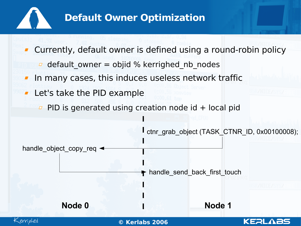![](_page_8_Picture_0.jpeg)

### **Default Owner Optimization**

Currently, default owner is defined using a round-robin policy  $\theta$  default\_owner = objid % kerrighed nb nodes In many cases, this induces useless network traffic Let's take the PID example  $\overline{P}$  PID is generated using creation node id + local pid ctnr\_grab\_object (TASK\_CTNR\_ID, 0x00100008); handle\_object\_copy\_req ~ handle\_send\_back\_first\_touch **Node 0 Node 1**Kerrighed 02/0**©** 5/07**Ker** www.kerlabs.com 9 **labs 2006** KERL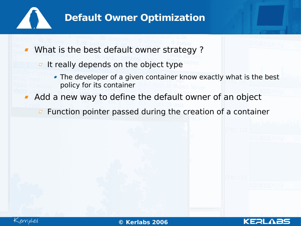![](_page_9_Picture_0.jpeg)

### **Default Owner Optimization**

- What is the best default owner strategy ?
	- $I$  It really depends on the object type
		- The developer of a given container know exactly what is the best policy for its container
- Add a new way to define the default owner of an object
	- $\overline{p}$  Function pointer passed during the creation of a container

![](_page_9_Picture_7.jpeg)

KERL